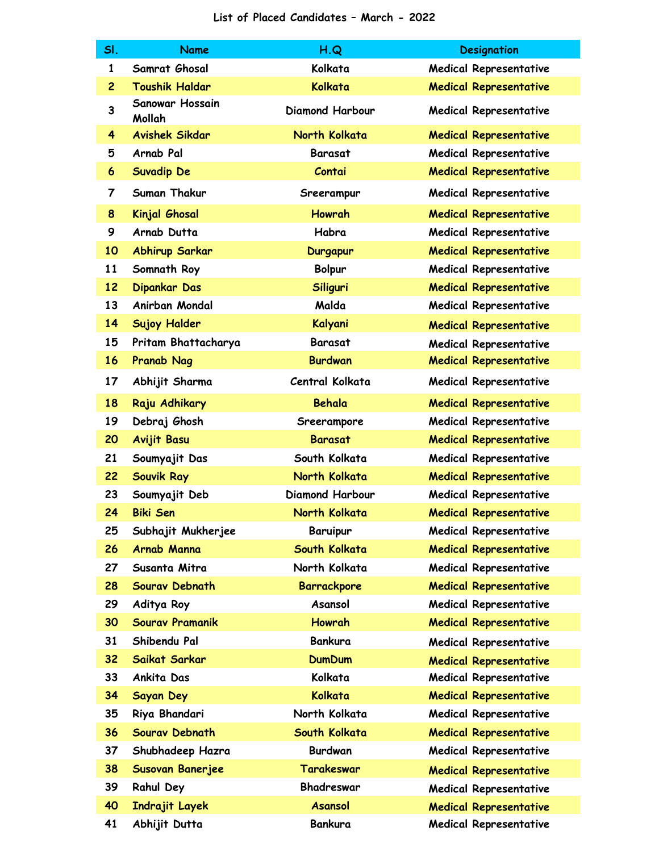| SI.            | <b>Name</b>                      | H.Q                    | <b>Designation</b>            |
|----------------|----------------------------------|------------------------|-------------------------------|
| 1              | Samrat Ghosal                    | Kolkata                | <b>Medical Representative</b> |
| $\overline{c}$ | <b>Toushik Haldar</b>            | Kolkata                | <b>Medical Representative</b> |
| 3              | <b>Sanowar Hossain</b><br>Mollah | <b>Diamond Harbour</b> | <b>Medical Representative</b> |
| 4              | <b>Avishek Sikdar</b>            | North Kolkata          | <b>Medical Representative</b> |
| 5              | Arnab Pal                        | <b>Barasat</b>         | <b>Medical Representative</b> |
| 6              | <b>Suvadip De</b>                | Contai                 | <b>Medical Representative</b> |
| 7              | Suman Thakur                     | Sreerampur             | <b>Medical Representative</b> |
| 8              | Kinjal Ghosal                    | <b>Howrah</b>          | <b>Medical Representative</b> |
| 9              | Arnab Dutta                      | Habra                  | <b>Medical Representative</b> |
| 10             | <b>Abhirup Sarkar</b>            | <b>Durgapur</b>        | <b>Medical Representative</b> |
| 11             | Somnath Roy                      | <b>Bolpur</b>          | <b>Medical Representative</b> |
| 12             | Dipankar Das                     | Siliguri               | <b>Medical Representative</b> |
| 13             | Anirban Mondal                   | Malda                  | <b>Medical Representative</b> |
| 14             | <b>Sujoy Halder</b>              | Kalyani                | <b>Medical Representative</b> |
| 15             | Pritam Bhattacharya              | <b>Barasat</b>         | <b>Medical Representative</b> |
| 16             | <b>Pranab Nag</b>                | <b>Burdwan</b>         | <b>Medical Representative</b> |
| 17             | Abhijit Sharma                   | Central Kolkata        | <b>Medical Representative</b> |
| 18             | Raju Adhikary                    | <b>Behala</b>          | <b>Medical Representative</b> |
| 19             | Debraj Ghosh                     | Sreerampore            | <b>Medical Representative</b> |
| 20             | <b>Avijit Basu</b>               | <b>Barasat</b>         | <b>Medical Representative</b> |
| 21             | Soumyajit Das                    | South Kolkata          | Medical Representative        |
| 22             | Souvik Ray                       | North Kolkata          | <b>Medical Representative</b> |
| 23             | Soumyajit Deb                    | <b>Diamond Harbour</b> | <b>Medical Representative</b> |
| 24             | <b>Biki Sen</b>                  | North Kolkata          | <b>Medical Representative</b> |
| 25             | Subhajit Mukherjee               | <b>Baruipur</b>        | <b>Medical Representative</b> |
| 26             | Arnab Manna                      | South Kolkata          | <b>Medical Representative</b> |
| 27             | Susanta Mitra                    | North Kolkata          | <b>Medical Representative</b> |
| 28             | Sourav Debnath                   | <b>Barrackpore</b>     | <b>Medical Representative</b> |
| 29             | Aditya Roy                       | Asansol                | <b>Medical Representative</b> |
| 30             | <b>Sourav Pramanik</b>           | <b>Howrah</b>          | <b>Medical Representative</b> |
| 31             | Shibendu Pal                     | <b>Bankura</b>         | <b>Medical Representative</b> |
| 32             | Saikat Sarkar                    | <b>DumDum</b>          | <b>Medical Representative</b> |
| 33             | Ankita Das                       | Kolkata                | <b>Medical Representative</b> |
| 34             | Sayan Dey                        | Kolkata                | <b>Medical Representative</b> |
| 35             | Riya Bhandari                    | North Kolkata          | <b>Medical Representative</b> |
| 36             | Sourav Debnath                   | South Kolkata          | <b>Medical Representative</b> |
| 37             | Shubhadeep Hazra                 | <b>Burdwan</b>         | <b>Medical Representative</b> |
| 38             | Susovan Banerjee                 | Tarakeswar             | <b>Medical Representative</b> |
| 39             | <b>Rahul Dey</b>                 | Bhadreswar             | <b>Medical Representative</b> |
| 40             | Indrajit Layek                   | <b>Asansol</b>         | <b>Medical Representative</b> |
| 41             | Abhijit Dutta                    | <b>Bankura</b>         | <b>Medical Representative</b> |